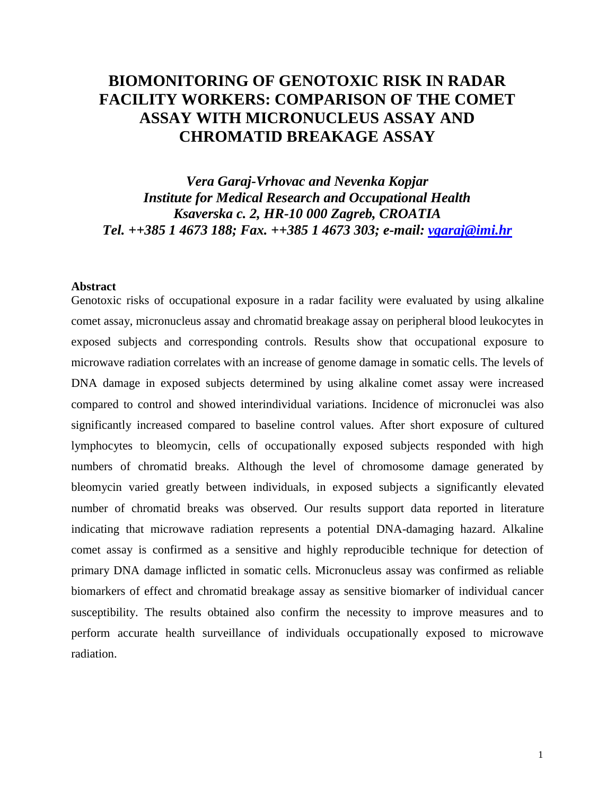# **BIOMONITORING OF GENOTOXIC RISK IN RADAR FACILITY WORKERS: COMPARISON OF THE COMET ASSAY WITH MICRONUCLEUS ASSAY AND CHROMATID BREAKAGE ASSAY**

*Vera Garaj-Vrhovac and Nevenka Kopjar Institute for Medical Research and Occupational Health Ksaverska c. 2, HR-10 000 Zagreb, CROATIA Tel. ++385 1 4673 188; Fax. ++385 1 4673 303; e-mail: [vgaraj@imi.hr](mailto:vgaraj@imi.hr)* 

## **Abstract**

Genotoxic risks of occupational exposure in a radar facility were evaluated by using alkaline comet assay, micronucleus assay and chromatid breakage assay on peripheral blood leukocytes in exposed subjects and corresponding controls. Results show that occupational exposure to microwave radiation correlates with an increase of genome damage in somatic cells. The levels of DNA damage in exposed subjects determined by using alkaline comet assay were increased compared to control and showed interindividual variations. Incidence of micronuclei was also significantly increased compared to baseline control values. After short exposure of cultured lymphocytes to bleomycin, cells of occupationally exposed subjects responded with high numbers of chromatid breaks. Although the level of chromosome damage generated by bleomycin varied greatly between individuals, in exposed subjects a significantly elevated number of chromatid breaks was observed. Our results support data reported in literature indicating that microwave radiation represents a potential DNA-damaging hazard. Alkaline comet assay is confirmed as a sensitive and highly reproducible technique for detection of primary DNA damage inflicted in somatic cells. Micronucleus assay was confirmed as reliable biomarkers of effect and chromatid breakage assay as sensitive biomarker of individual cancer susceptibility. The results obtained also confirm the necessity to improve measures and to perform accurate health surveillance of individuals occupationally exposed to microwave radiation.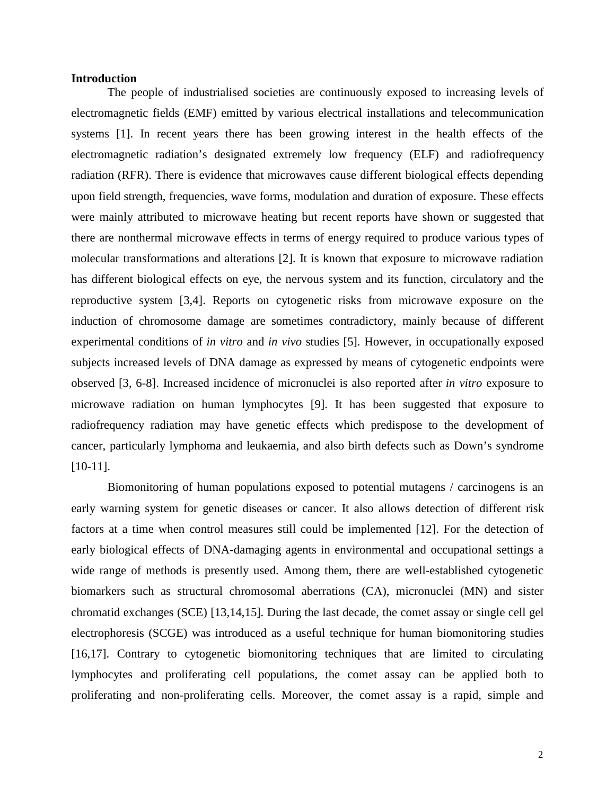# **Introduction**

The people of industrialised societies are continuously exposed to increasing levels of electromagnetic fields (EMF) emitted by various electrical installations and telecommunication systems [1]. In recent years there has been growing interest in the health effects of the electromagnetic radiation's designated extremely low frequency (ELF) and radiofrequency radiation (RFR). There is evidence that microwaves cause different biological effects depending upon field strength, frequencies, wave forms, modulation and duration of exposure. These effects were mainly attributed to microwave heating but recent reports have shown or suggested that there are nonthermal microwave effects in terms of energy required to produce various types of molecular transformations and alterations [2]. It is known that exposure to microwave radiation has different biological effects on eye, the nervous system and its function, circulatory and the reproductive system [3,4]. Reports on cytogenetic risks from microwave exposure on the induction of chromosome damage are sometimes contradictory, mainly because of different experimental conditions of *in vitro* and *in vivo* studies [5]. However, in occupationally exposed subjects increased levels of DNA damage as expressed by means of cytogenetic endpoints were observed [3, 6-8]. Increased incidence of micronuclei is also reported after *in vitro* exposure to microwave radiation on human lymphocytes [9]. It has been suggested that exposure to radiofrequency radiation may have genetic effects which predispose to the development of cancer, particularly lymphoma and leukaemia, and also birth defects such as Down's syndrome [10-11].

Biomonitoring of human populations exposed to potential mutagens / carcinogens is an early warning system for genetic diseases or cancer. It also allows detection of different risk factors at a time when control measures still could be implemented [12]. For the detection of early biological effects of DNA-damaging agents in environmental and occupational settings a wide range of methods is presently used. Among them, there are well-established cytogenetic biomarkers such as structural chromosomal aberrations (CA), micronuclei (MN) and sister chromatid exchanges (SCE) [13,14,15]. During the last decade, the comet assay or single cell gel electrophoresis (SCGE) was introduced as a useful technique for human biomonitoring studies [16,17]. Contrary to cytogenetic biomonitoring techniques that are limited to circulating lymphocytes and proliferating cell populations, the comet assay can be applied both to proliferating and non-proliferating cells. Moreover, the comet assay is a rapid, simple and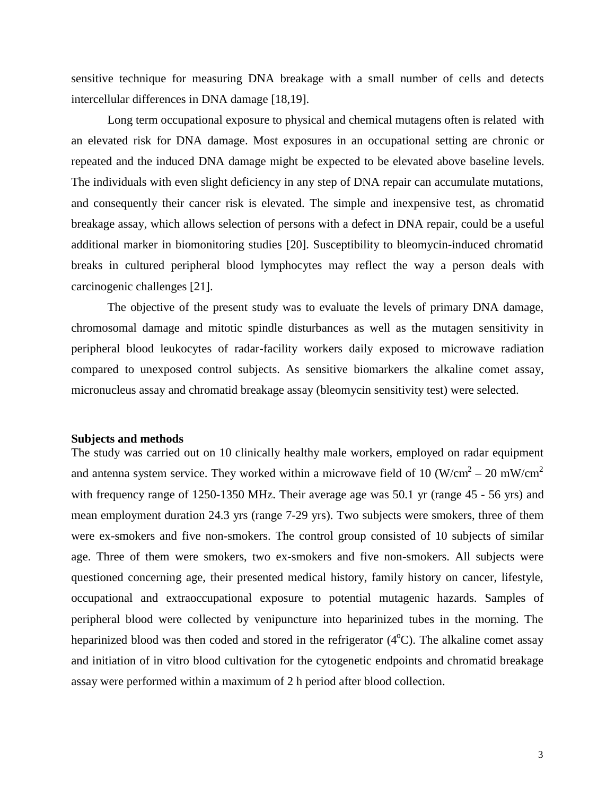sensitive technique for measuring DNA breakage with a small number of cells and detects intercellular differences in DNA damage [18,19].

Long term occupational exposure to physical and chemical mutagens often is related with an elevated risk for DNA damage. Most exposures in an occupational setting are chronic or repeated and the induced DNA damage might be expected to be elevated above baseline levels. The individuals with even slight deficiency in any step of DNA repair can accumulate mutations, and consequently their cancer risk is elevated. The simple and inexpensive test, as chromatid breakage assay, which allows selection of persons with a defect in DNA repair, could be a useful additional marker in biomonitoring studies [20]. Susceptibility to bleomycin-induced chromatid breaks in cultured peripheral blood lymphocytes may reflect the way a person deals with carcinogenic challenges [21].

The objective of the present study was to evaluate the levels of primary DNA damage, chromosomal damage and mitotic spindle disturbances as well as the mutagen sensitivity in peripheral blood leukocytes of radar-facility workers daily exposed to microwave radiation compared to unexposed control subjects. As sensitive biomarkers the alkaline comet assay, micronucleus assay and chromatid breakage assay (bleomycin sensitivity test) were selected.

## **Subjects and methods**

The study was carried out on 10 clinically healthy male workers, employed on radar equipment and antenna system service. They worked within a microwave field of 10 (W/cm<sup>2</sup> – 20 mW/cm<sup>2</sup> with frequency range of 1250-1350 MHz. Their average age was 50.1 yr (range 45 - 56 yrs) and mean employment duration 24.3 yrs (range 7-29 yrs). Two subjects were smokers, three of them were ex-smokers and five non-smokers. The control group consisted of 10 subjects of similar age. Three of them were smokers, two ex-smokers and five non-smokers. All subjects were questioned concerning age, their presented medical history, family history on cancer, lifestyle, occupational and extraoccupational exposure to potential mutagenic hazards. Samples of peripheral blood were collected by venipuncture into heparinized tubes in the morning. The heparinized blood was then coded and stored in the refrigerator  $(4^{\circ}C)$ . The alkaline comet assay and initiation of in vitro blood cultivation for the cytogenetic endpoints and chromatid breakage assay were performed within a maximum of 2 h period after blood collection.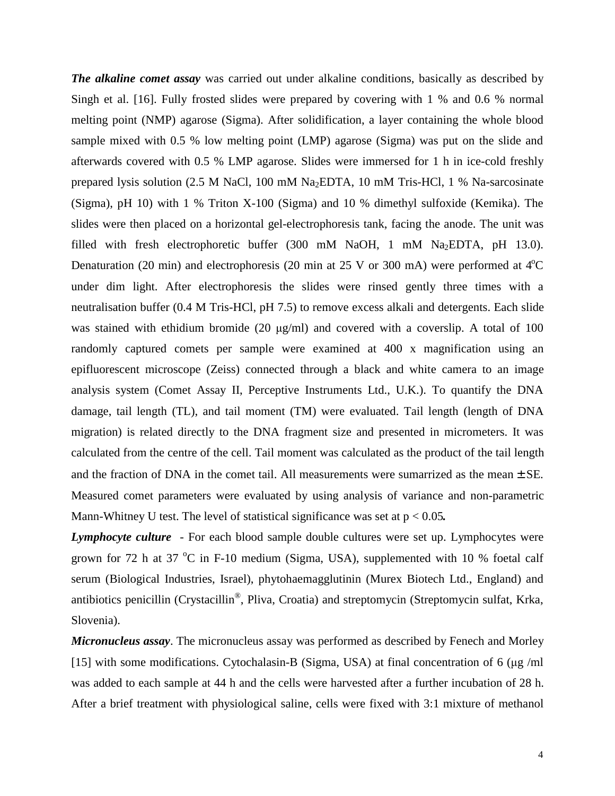*The alkaline comet assay* was carried out under alkaline conditions, basically as described by Singh et al. [16]. Fully frosted slides were prepared by covering with 1 % and 0.6 % normal melting point (NMP) agarose (Sigma). After solidification, a layer containing the whole blood sample mixed with 0.5 % low melting point (LMP) agarose (Sigma) was put on the slide and afterwards covered with 0.5 % LMP agarose. Slides were immersed for 1 h in ice-cold freshly prepared lysis solution (2.5 M NaCl, 100 mM Na2EDTA, 10 mM Tris-HCl, 1 % Na-sarcosinate (Sigma), pH 10) with 1 % Triton X-100 (Sigma) and 10 % dimethyl sulfoxide (Kemika). The slides were then placed on a horizontal gel-electrophoresis tank, facing the anode. The unit was filled with fresh electrophoretic buffer (300 mM NaOH, 1 mM Na2EDTA, pH 13.0). Denaturation (20 min) and electrophoresis (20 min at 25 V or 300 mA) were performed at  $4^{\circ}$ C under dim light. After electrophoresis the slides were rinsed gently three times with a neutralisation buffer (0.4 M Tris-HCl, pH 7.5) to remove excess alkali and detergents. Each slide was stained with ethidium bromide (20 μg/ml) and covered with a coverslip. A total of 100 randomly captured comets per sample were examined at 400 x magnification using an epifluorescent microscope (Zeiss) connected through a black and white camera to an image analysis system (Comet Assay II, Perceptive Instruments Ltd., U.K.). To quantify the DNA damage, tail length (TL), and tail moment (TM) were evaluated. Tail length (length of DNA migration) is related directly to the DNA fragment size and presented in micrometers. It was calculated from the centre of the cell. Tail moment was calculated as the product of the tail length and the fraction of DNA in the comet tail. All measurements were sumarrized as the mean  $\pm$  SE. Measured comet parameters were evaluated by using analysis of variance and non-parametric Mann-Whitney U test. The level of statistical significance was set at p < 0.05*.* 

*Lymphocyte culture* - For each blood sample double cultures were set up. Lymphocytes were grown for 72 h at 37  $^{\circ}$ C in F-10 medium (Sigma, USA), supplemented with 10 % foetal calf serum (Biological Industries, Israel), phytohaemagglutinin (Murex Biotech Ltd., England) and antibiotics penicillin (Crystacillin®, Pliva, Croatia) and streptomycin (Streptomycin sulfat, Krka, Slovenia).

*Micronucleus assay*. The micronucleus assay was performed as described by Fenech and Morley [15] with some modifications. Cytochalasin-B (Sigma, USA) at final concentration of 6 (μg /ml was added to each sample at 44 h and the cells were harvested after a further incubation of 28 h. After a brief treatment with physiological saline, cells were fixed with 3:1 mixture of methanol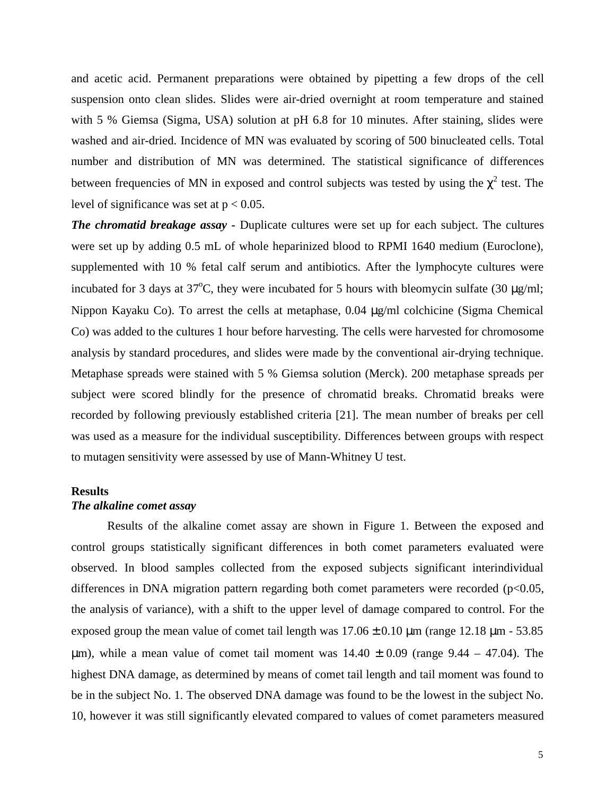and acetic acid. Permanent preparations were obtained by pipetting a few drops of the cell suspension onto clean slides. Slides were air-dried overnight at room temperature and stained with 5 % Giemsa (Sigma, USA) solution at pH 6.8 for 10 minutes. After staining, slides were washed and air-dried. Incidence of MN was evaluated by scoring of 500 binucleated cells. Total number and distribution of MN was determined. The statistical significance of differences between frequencies of MN in exposed and control subjects was tested by using the  $\chi^2$  test. The level of significance was set at  $p < 0.05$ .

*The chromatid breakage assay -* Duplicate cultures were set up for each subject. The cultures were set up by adding 0.5 mL of whole heparinized blood to RPMI 1640 medium (Euroclone), supplemented with 10 % fetal calf serum and antibiotics. After the lymphocyte cultures were incubated for 3 days at 37<sup>o</sup>C, they were incubated for 5 hours with bleomycin sulfate (30  $\mu$ g/ml; Nippon Kayaku Co). To arrest the cells at metaphase, 0.04 μg/ml colchicine (Sigma Chemical Co) was added to the cultures 1 hour before harvesting. The cells were harvested for chromosome analysis by standard procedures, and slides were made by the conventional air-drying technique. Metaphase spreads were stained with 5 % Giemsa solution (Merck). 200 metaphase spreads per subject were scored blindly for the presence of chromatid breaks. Chromatid breaks were recorded by following previously established criteria [21]. The mean number of breaks per cell was used as a measure for the individual susceptibility. Differences between groups with respect to mutagen sensitivity were assessed by use of Mann-Whitney U test.

# **Results**

# *The alkaline comet assay*

Results of the alkaline comet assay are shown in Figure 1. Between the exposed and control groups statistically significant differences in both comet parameters evaluated were observed. In blood samples collected from the exposed subjects significant interindividual differences in DNA migration pattern regarding both comet parameters were recorded  $(p<0.05$ , the analysis of variance), with a shift to the upper level of damage compared to control. For the exposed group the mean value of comet tail length was  $17.06 \pm 0.10$  μm (range 12.18 μm - 53.85) μm), while a mean value of comet tail moment was  $14.40 \pm 0.09$  (range 9.44 – 47.04). The highest DNA damage, as determined by means of comet tail length and tail moment was found to be in the subject No. 1. The observed DNA damage was found to be the lowest in the subject No. 10, however it was still significantly elevated compared to values of comet parameters measured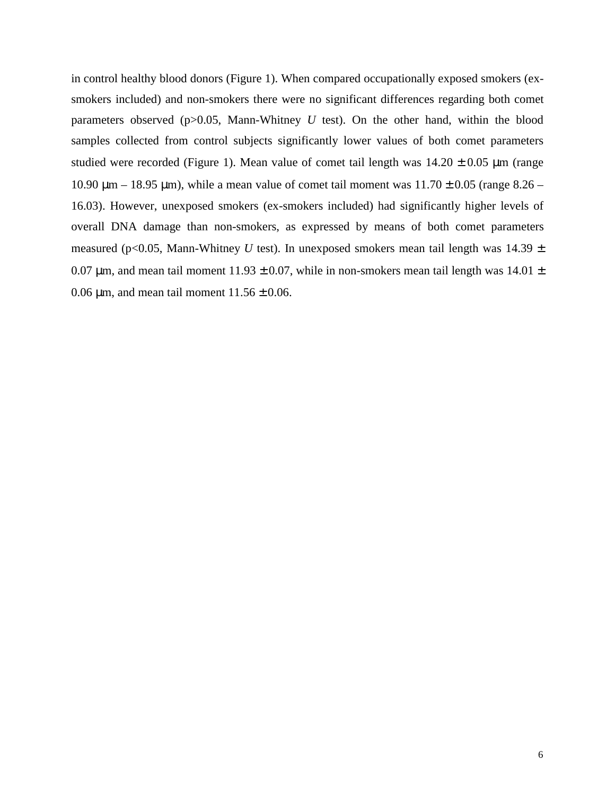in control healthy blood donors (Figure 1). When compared occupationally exposed smokers (exsmokers included) and non-smokers there were no significant differences regarding both comet parameters observed  $(p>0.05$ , Mann-Whitney *U* test). On the other hand, within the blood samples collected from control subjects significantly lower values of both comet parameters studied were recorded (Figure 1). Mean value of comet tail length was  $14.20 \pm 0.05$  µm (range 10.90 μm – 18.95 μm), while a mean value of comet tail moment was  $11.70 \pm 0.05$  (range  $8.26$  – 16.03). However, unexposed smokers (ex-smokers included) had significantly higher levels of overall DNA damage than non-smokers, as expressed by means of both comet parameters measured (p<0.05, Mann-Whitney *U* test). In unexposed smokers mean tail length was  $14.39 \pm$ 0.07  $\mu$ m, and mean tail moment 11.93  $\pm$  0.07, while in non-smokers mean tail length was 14.01  $\pm$ 0.06  $\mu$ m, and mean tail moment 11.56  $\pm$  0.06.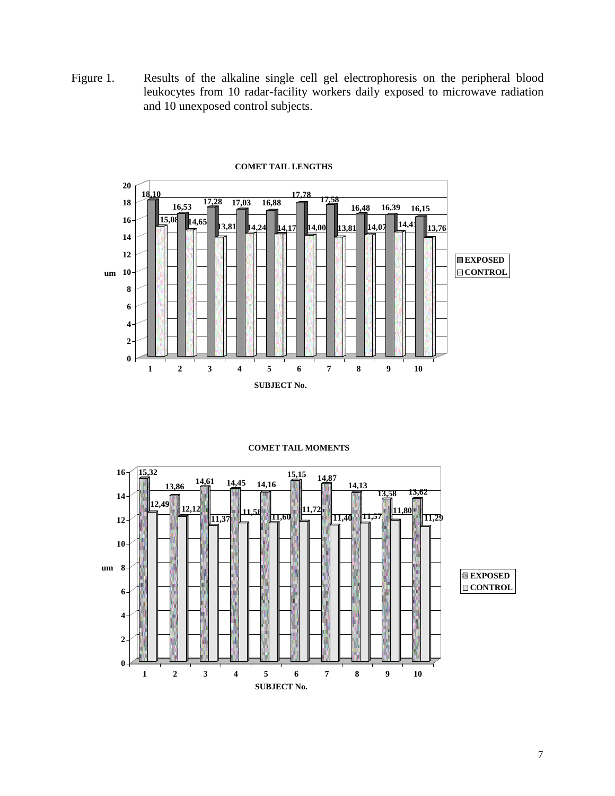Figure 1. Results of the alkaline single cell gel electrophoresis on the peripheral blood leukocytes from 10 radar-facility workers daily exposed to microwave radiation and 10 unexposed control subjects.



**COMET TAIL MOMENTS**

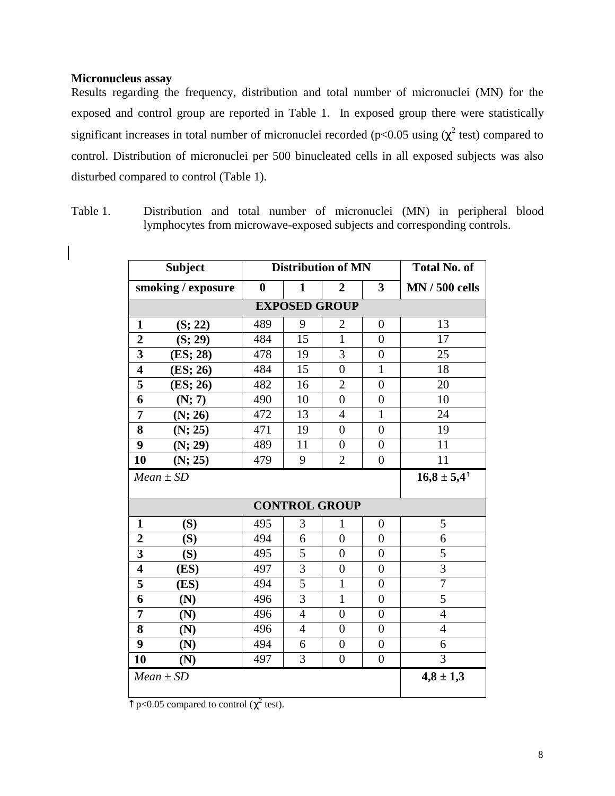# **Micronucleus assay**

Results regarding the frequency, distribution and total number of micronuclei (MN) for the exposed and control group are reported in Table 1. In exposed group there were statistically significant increases in total number of micronuclei recorded ( $p<0.05$  using ( $\chi^2$  test) compared to control. Distribution of micronuclei per 500 binucleated cells in all exposed subjects was also disturbed compared to control (Table 1).

Table 1. Distribution and total number of micronuclei (MN) in peripheral blood lymphocytes from microwave-exposed subjects and corresponding controls.

| <b>Subject</b>          |          |          | <b>Distribution of MN</b> | <b>Total No. of</b> |                  |                       |  |  |  |  |
|-------------------------|----------|----------|---------------------------|---------------------|------------------|-----------------------|--|--|--|--|
| smoking / exposure      |          | $\bf{0}$ | 1                         | $\overline{2}$      | 3                | <b>MN</b> / 500 cells |  |  |  |  |
| <b>EXPOSED GROUP</b>    |          |          |                           |                     |                  |                       |  |  |  |  |
| 1                       | (S; 22)  | 489      | 9                         | $\overline{2}$      | $\overline{0}$   | 13                    |  |  |  |  |
| $\boldsymbol{2}$        | (S; 29)  | 484      | 15                        | $\mathbf{1}$        | $\overline{0}$   | 17                    |  |  |  |  |
| 3                       | (ES; 28) | 478      | 19                        | 3                   | $\overline{0}$   | 25                    |  |  |  |  |
| $\overline{\mathbf{4}}$ | (ES; 26) | 484      | 15                        | $\overline{0}$      | $\mathbf{1}$     | 18                    |  |  |  |  |
| 5                       | (ES; 26) | 482      | 16                        | $\overline{2}$      | $\overline{0}$   | 20                    |  |  |  |  |
| 6                       | (N; 7)   | 490      | 10                        | $\overline{0}$      | $\overline{0}$   | 10                    |  |  |  |  |
| 7                       | (N; 26)  | 472      | 13                        | $\overline{4}$      | $\mathbf{1}$     | 24                    |  |  |  |  |
| 8                       | (N; 25)  | 471      | 19                        | $\overline{0}$      | $\overline{0}$   | 19                    |  |  |  |  |
| 9                       | (N; 29)  | 489      | 11                        | $\overline{0}$      | $\overline{0}$   | 11                    |  |  |  |  |
| 10                      | (N; 25)  | 479      | 9                         | $\overline{2}$      | $\overline{0}$   | 11                    |  |  |  |  |
| $Mean \pm SD$           |          |          |                           |                     |                  | $16,8 \pm 5,4$        |  |  |  |  |
|                         |          |          |                           |                     |                  |                       |  |  |  |  |
| 1                       | (S)      | 495      | 3                         | 1                   | $\boldsymbol{0}$ | 5                     |  |  |  |  |
| $\overline{2}$          | (S)      | 494      | 6                         | $\overline{0}$      | $\overline{0}$   | 6                     |  |  |  |  |
| 3                       | (S)      | 495      | 5                         | $\overline{0}$      | $\overline{0}$   | 5                     |  |  |  |  |
| $\overline{\mathbf{4}}$ | (ES)     | 497      | 3                         | $\overline{0}$      | $\overline{0}$   | $\overline{3}$        |  |  |  |  |
| 5                       | (ES)     | 494      | 5                         | $\mathbf{1}$        | $\overline{0}$   | $\overline{7}$        |  |  |  |  |
| 6                       | (N)      | 496      | 3                         | $\mathbf{1}$        | $\overline{0}$   | 5                     |  |  |  |  |
| 7                       | (N)      | 496      | $\overline{4}$            | $\overline{0}$      | $\overline{0}$   | 4                     |  |  |  |  |
| 8                       | (N)      | 496      | 4                         | $\overline{0}$      | $\overline{0}$   | $\overline{4}$        |  |  |  |  |
| 9                       | (N)      | 494      | 6                         | $\overline{0}$      | $\overline{0}$   | 6                     |  |  |  |  |
| 10                      | (N)      | 497      | 3                         | $\overline{0}$      | $\overline{0}$   | $\overline{3}$        |  |  |  |  |
| $Mean \pm SD$           |          |          |                           |                     |                  | $4,8 \pm 1,3$         |  |  |  |  |

 $\frac{1}{2}$  p<0.05 compared to control ( $\chi^2$  test).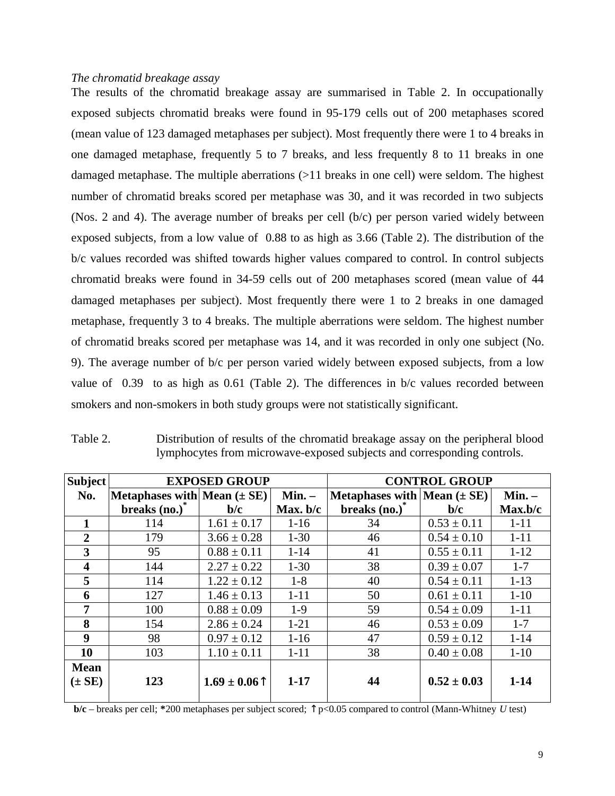## *The chromatid breakage assay*

The results of the chromatid breakage assay are summarised in Table 2. In occupationally exposed subjects chromatid breaks were found in 95-179 cells out of 200 metaphases scored (mean value of 123 damaged metaphases per subject). Most frequently there were 1 to 4 breaks in one damaged metaphase, frequently 5 to 7 breaks, and less frequently 8 to 11 breaks in one damaged metaphase. The multiple aberrations (>11 breaks in one cell) were seldom. The highest number of chromatid breaks scored per metaphase was 30, and it was recorded in two subjects (Nos. 2 and 4). The average number of breaks per cell (b/c) per person varied widely between exposed subjects, from a low value of 0.88 to as high as 3.66 (Table 2). The distribution of the b/c values recorded was shifted towards higher values compared to control. In control subjects chromatid breaks were found in 34-59 cells out of 200 metaphases scored (mean value of 44 damaged metaphases per subject). Most frequently there were 1 to 2 breaks in one damaged metaphase, frequently 3 to 4 breaks. The multiple aberrations were seldom. The highest number of chromatid breaks scored per metaphase was 14, and it was recorded in only one subject (No. 9). The average number of b/c per person varied widely between exposed subjects, from a low value of 0.39 to as high as 0.61 (Table 2). The differences in b/c values recorded between smokers and non-smokers in both study groups were not statistically significant.

| <b>Subject</b>          |                                 | <b>EXPOSED GROUP</b> |            | <b>CONTROL GROUP</b>                           |                 |          |  |
|-------------------------|---------------------------------|----------------------|------------|------------------------------------------------|-----------------|----------|--|
| No.                     | Metaphases with Mean $(\pm SE)$ |                      | Min. –     | Metaphases with $ \text{Mean}(\pm \text{SE}) $ |                 | Min. –   |  |
|                         | breaks $(no.)^*$                | b/c                  | Max. $b/c$ | breaks $(no.)^*$                               | b/c             | Max.b/c  |  |
|                         | 114                             | $1.61 \pm 0.17$      | $1 - 16$   | 34                                             | $0.53 \pm 0.11$ | $1 - 11$ |  |
| $\overline{2}$          | 179                             | $3.66 \pm 0.28$      | $1 - 30$   | 46                                             | $0.54 \pm 0.10$ | $1 - 11$ |  |
| 3                       | 95                              | $0.88 \pm 0.11$      | $1 - 14$   | 41                                             | $0.55 \pm 0.11$ | $1 - 12$ |  |
| $\overline{\mathbf{4}}$ | 144                             | $2.27 \pm 0.22$      | $1 - 30$   | 38                                             | $0.39 \pm 0.07$ | $1 - 7$  |  |
| 5                       | 114                             | $1.22 \pm 0.12$      | $1 - 8$    | 40                                             | $0.54 \pm 0.11$ | $1 - 13$ |  |
| 6                       | 127                             | $1.46 \pm 0.13$      | $1 - 11$   | 50                                             | $0.61 \pm 0.11$ | $1 - 10$ |  |
| 7                       | 100                             | $0.88 \pm 0.09$      | $1-9$      | 59                                             | $0.54 \pm 0.09$ | $1 - 11$ |  |
| 8                       | 154                             | $2.86 \pm 0.24$      | $1 - 21$   | 46                                             | $0.53 \pm 0.09$ | $1 - 7$  |  |
| 9                       | 98                              | $0.97 \pm 0.12$      | $1 - 16$   | 47                                             | $0.59 \pm 0.12$ | $1 - 14$ |  |
| 10                      | 103                             | $1.10 \pm 0.11$      | $1 - 11$   | 38                                             | $0.40 \pm 0.08$ | $1 - 10$ |  |
| <b>Mean</b>             |                                 |                      |            |                                                |                 |          |  |
| $(\pm SE)$              | 123                             | $1.69 \pm 0.06$      | $1 - 17$   | 44                                             | $0.52 \pm 0.03$ | $1 - 14$ |  |

Table 2. Distribution of results of the chromatid breakage assay on the peripheral blood lymphocytes from microwave-exposed subjects and corresponding controls.

**b/c** – breaks per cell; **\***200 metaphases per subject scored; **-** p<0.05 compared to control (Mann-Whitney *U* test)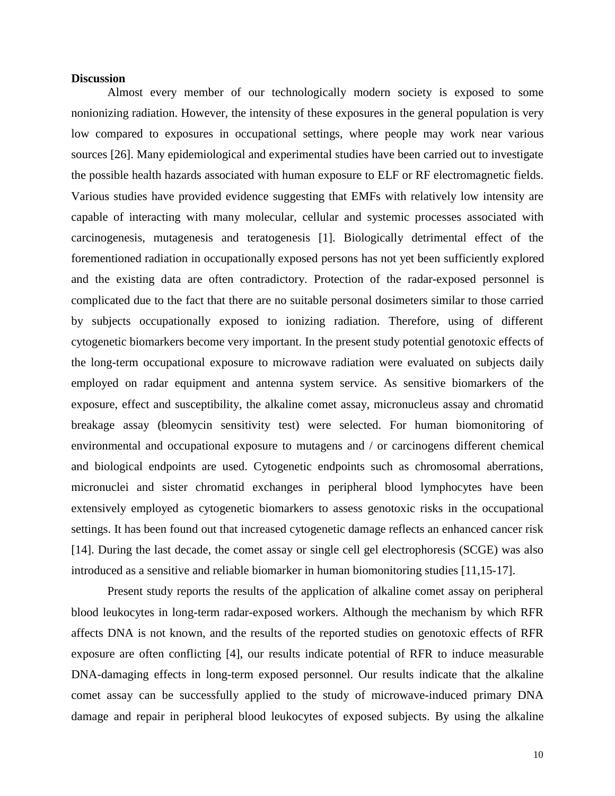## **Discussion**

Almost every member of our technologically modern society is exposed to some nonionizing radiation. However, the intensity of these exposures in the general population is very low compared to exposures in occupational settings, where people may work near various sources [26]. Many epidemiological and experimental studies have been carried out to investigate the possible health hazards associated with human exposure to ELF or RF electromagnetic fields. Various studies have provided evidence suggesting that EMFs with relatively low intensity are capable of interacting with many molecular, cellular and systemic processes associated with carcinogenesis, mutagenesis and teratogenesis [1]. Biologically detrimental effect of the forementioned radiation in occupationally exposed persons has not yet been sufficiently explored and the existing data are often contradictory. Protection of the radar-exposed personnel is complicated due to the fact that there are no suitable personal dosimeters similar to those carried by subjects occupationally exposed to ionizing radiation. Therefore, using of different cytogenetic biomarkers become very important. In the present study potential genotoxic effects of the long-term occupational exposure to microwave radiation were evaluated on subjects daily employed on radar equipment and antenna system service. As sensitive biomarkers of the exposure, effect and susceptibility, the alkaline comet assay, micronucleus assay and chromatid breakage assay (bleomycin sensitivity test) were selected. For human biomonitoring of environmental and occupational exposure to mutagens and / or carcinogens different chemical and biological endpoints are used. Cytogenetic endpoints such as chromosomal aberrations, micronuclei and sister chromatid exchanges in peripheral blood lymphocytes have been extensively employed as cytogenetic biomarkers to assess genotoxic risks in the occupational settings. It has been found out that increased cytogenetic damage reflects an enhanced cancer risk [14]. During the last decade, the comet assay or single cell gel electrophoresis (SCGE) was also introduced as a sensitive and reliable biomarker in human biomonitoring studies [11,15-17].

Present study reports the results of the application of alkaline comet assay on peripheral blood leukocytes in long-term radar-exposed workers. Although the mechanism by which RFR affects DNA is not known, and the results of the reported studies on genotoxic effects of RFR exposure are often conflicting [4], our results indicate potential of RFR to induce measurable DNA-damaging effects in long-term exposed personnel. Our results indicate that the alkaline comet assay can be successfully applied to the study of microwave-induced primary DNA damage and repair in peripheral blood leukocytes of exposed subjects. By using the alkaline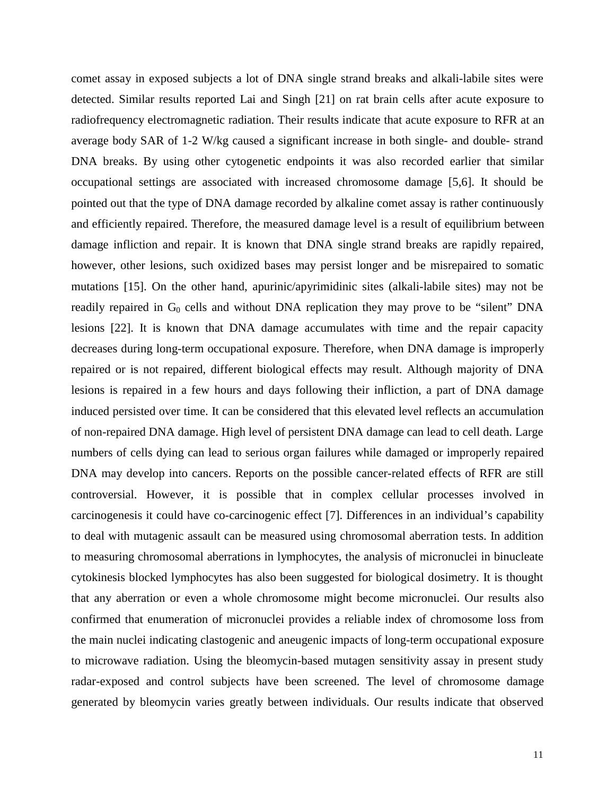comet assay in exposed subjects a lot of DNA single strand breaks and alkali-labile sites were detected. Similar results reported Lai and Singh [21] on rat brain cells after acute exposure to radiofrequency electromagnetic radiation. Their results indicate that acute exposure to RFR at an average body SAR of 1-2 W/kg caused a significant increase in both single- and double- strand DNA breaks. By using other cytogenetic endpoints it was also recorded earlier that similar occupational settings are associated with increased chromosome damage [5,6]. It should be pointed out that the type of DNA damage recorded by alkaline comet assay is rather continuously and efficiently repaired. Therefore, the measured damage level is a result of equilibrium between damage infliction and repair. It is known that DNA single strand breaks are rapidly repaired, however, other lesions, such oxidized bases may persist longer and be misrepaired to somatic mutations [15]. On the other hand, apurinic/apyrimidinic sites (alkali-labile sites) may not be readily repaired in G<sub>0</sub> cells and without DNA replication they may prove to be "silent" DNA lesions [22]. It is known that DNA damage accumulates with time and the repair capacity decreases during long-term occupational exposure. Therefore, when DNA damage is improperly repaired or is not repaired, different biological effects may result. Although majority of DNA lesions is repaired in a few hours and days following their infliction, a part of DNA damage induced persisted over time. It can be considered that this elevated level reflects an accumulation of non-repaired DNA damage. High level of persistent DNA damage can lead to cell death. Large numbers of cells dying can lead to serious organ failures while damaged or improperly repaired DNA may develop into cancers. Reports on the possible cancer-related effects of RFR are still controversial. However, it is possible that in complex cellular processes involved in carcinogenesis it could have co-carcinogenic effect [7]. Differences in an individual's capability to deal with mutagenic assault can be measured using chromosomal aberration tests. In addition to measuring chromosomal aberrations in lymphocytes, the analysis of micronuclei in binucleate cytokinesis blocked lymphocytes has also been suggested for biological dosimetry. It is thought that any aberration or even a whole chromosome might become micronuclei. Our results also confirmed that enumeration of micronuclei provides a reliable index of chromosome loss from the main nuclei indicating clastogenic and aneugenic impacts of long-term occupational exposure to microwave radiation. Using the bleomycin-based mutagen sensitivity assay in present study radar-exposed and control subjects have been screened. The level of chromosome damage generated by bleomycin varies greatly between individuals. Our results indicate that observed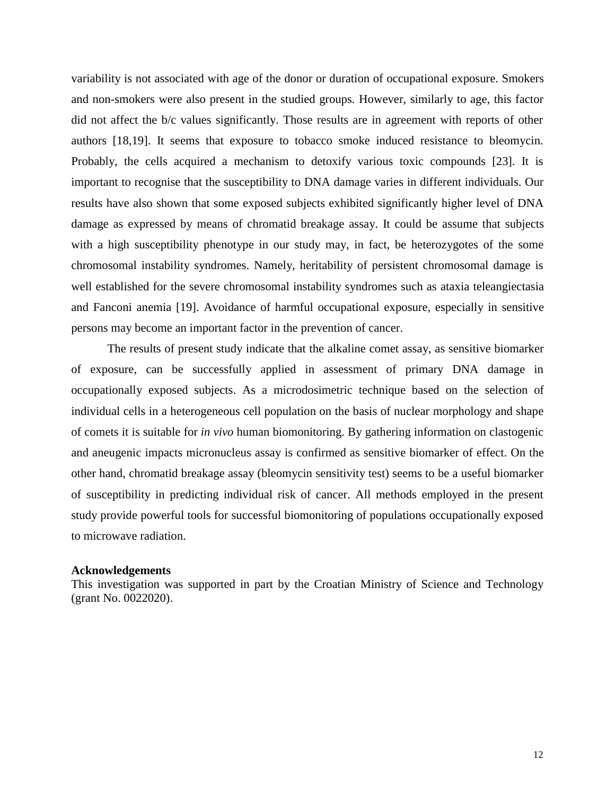variability is not associated with age of the donor or duration of occupational exposure. Smokers and non-smokers were also present in the studied groups. However, similarly to age, this factor did not affect the b/c values significantly. Those results are in agreement with reports of other authors [18,19]. It seems that exposure to tobacco smoke induced resistance to bleomycin. Probably, the cells acquired a mechanism to detoxify various toxic compounds [23]. It is important to recognise that the susceptibility to DNA damage varies in different individuals. Our results have also shown that some exposed subjects exhibited significantly higher level of DNA damage as expressed by means of chromatid breakage assay. It could be assume that subjects with a high susceptibility phenotype in our study may, in fact, be heterozygotes of the some chromosomal instability syndromes. Namely, heritability of persistent chromosomal damage is well established for the severe chromosomal instability syndromes such as ataxia teleangiectasia and Fanconi anemia [19]. Avoidance of harmful occupational exposure, especially in sensitive persons may become an important factor in the prevention of cancer.

The results of present study indicate that the alkaline comet assay, as sensitive biomarker of exposure, can be successfully applied in assessment of primary DNA damage in occupationally exposed subjects. As a microdosimetric technique based on the selection of individual cells in a heterogeneous cell population on the basis of nuclear morphology and shape of comets it is suitable for *in vivo* human biomonitoring. By gathering information on clastogenic and aneugenic impacts micronucleus assay is confirmed as sensitive biomarker of effect. On the other hand, chromatid breakage assay (bleomycin sensitivity test) seems to be a useful biomarker of susceptibility in predicting individual risk of cancer. All methods employed in the present study provide powerful tools for successful biomonitoring of populations occupationally exposed to microwave radiation.

## **Acknowledgements**

This investigation was supported in part by the Croatian Ministry of Science and Technology (grant No. 0022020).